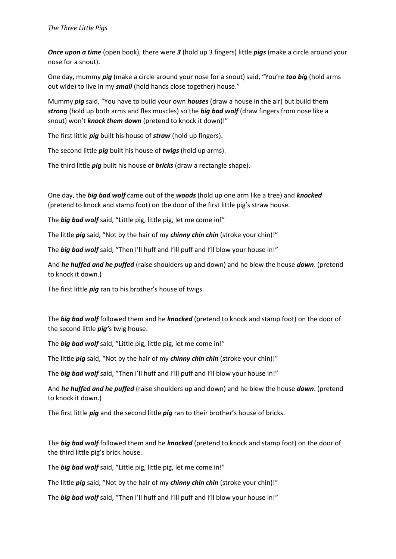*Once upon a time* (open book), there were *3* (hold up 3 fingers) little *pigs* (make a circle around your nose for a snout).

One day, mummy *pig* (make a circle around your nose for a snout) said, "You're *too big* (hold arms out wide) to live in my *small* (hold hands close together) house."

Mummy *pig* said, "You have to build your own *houses* (draw a house in the air) but build them *strong* (hold up both arms and flex muscles) so the *big bad wolf* (draw fingers from nose like a snout) won't *knock them down* (pretend to knock it down)!"

The first little *pig* built his house of *straw* (hold up fingers).

The second little *pig* built his house of *twigs* (hold up arms).

The third little *pig* built his house of *bricks* (draw a rectangle shape).

One day, the *big bad wolf* came out of the *woods* (hold up one arm like a tree) and *knocked*  (pretend to knock and stamp foot) on the door of the first little pig's straw house.

The *big bad wolf* said, "Little pig, little pig, let me come in!"

The little *pig* said, "Not by the hair of my *chinny chin chin* (stroke your chin)!"

The **big bad wolf** said, "Then I'll huff and I'lll puff and I'll blow your house in!"

And *he huffed and he puffed* (raise shoulders up and down) and he blew the house *down*. (pretend to knock it down.)

The first little *pig* ran to his brother's house of twigs.

The *big bad wolf* followed them and he *knocked* (pretend to knock and stamp foot) on the door of the second little *pig'*s twig house.

The *big bad wolf* said, "Little pig, little pig, let me come in!"

The little *pig* said, "Not by the hair of my *chinny chin chin* (stroke your chin)!"

The **big bad wolf** said, "Then I'll huff and I'lll puff and I'll blow your house in!"

And *he huffed and he puffed* (raise shoulders up and down) and he blew the house *down*. (pretend to knock it down.)

The first little *pig* and the second little *pig* ran to their brother's house of bricks.

The *big bad wolf* followed them and he *knocked* (pretend to knock and stamp foot) on the door of the third little pig's brick house.

The *big bad wolf* said, "Little pig, little pig, let me come in!"

The little *pig* said, "Not by the hair of my *chinny chin chin* (stroke your chin)!"

The **big bad wolf** said, "Then I'll huff and I'lll puff and I'll blow your house in!"